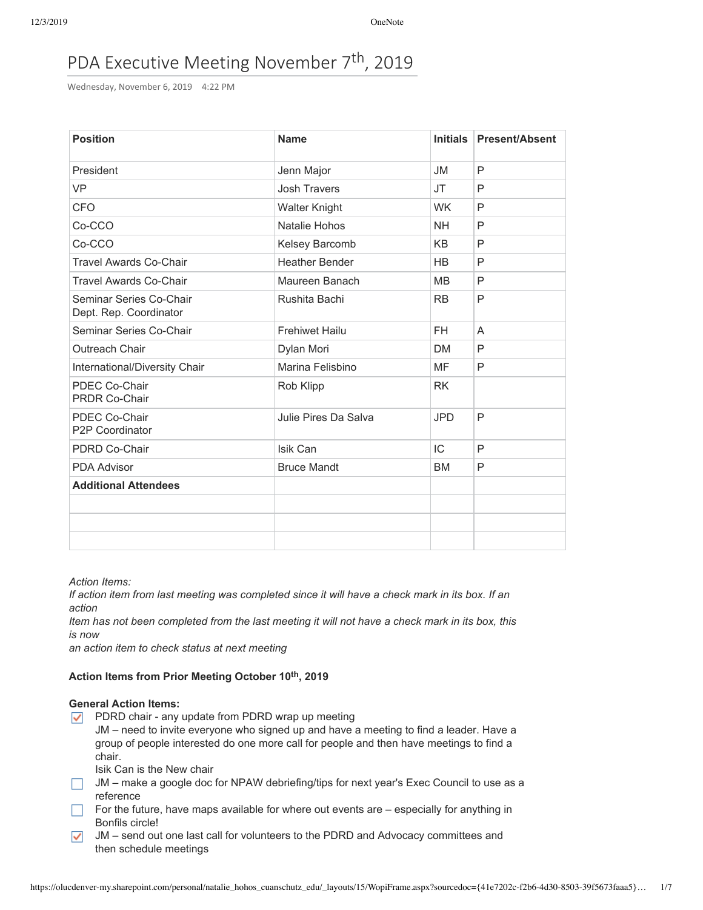# PDA Executive Meeting November 7<sup>th</sup>, 2019

Wednesday, November 6, 2019 4:22 PM

| <b>Position</b>                                   | <b>Name</b>           | <b>Initials</b> | <b>Present/Absent</b> |
|---------------------------------------------------|-----------------------|-----------------|-----------------------|
| President                                         | Jenn Major            | <b>JM</b>       | P                     |
| <b>VP</b>                                         | <b>Josh Travers</b>   | <b>JT</b>       | P                     |
| <b>CFO</b>                                        | <b>Walter Knight</b>  | <b>WK</b>       | P                     |
| Co-CCO                                            | Natalie Hohos         | <b>NH</b>       | P                     |
| Co-CCO                                            | Kelsey Barcomb        | KB              | P                     |
| <b>Travel Awards Co-Chair</b>                     | <b>Heather Bender</b> | <b>HB</b>       | P                     |
| <b>Travel Awards Co-Chair</b>                     | Maureen Banach        | <b>MB</b>       | P                     |
| Seminar Series Co-Chair<br>Dept. Rep. Coordinator | Rushita Bachi         | <b>RB</b>       | P                     |
| Seminar Series Co-Chair                           | <b>Frehiwet Hailu</b> | FH              | A                     |
| Outreach Chair                                    | Dylan Mori            | DM              | P                     |
| International/Diversity Chair                     | Marina Felisbino      | MF              | P                     |
| PDEC Co-Chair<br><b>PRDR Co-Chair</b>             | Rob Klipp             | <b>RK</b>       |                       |
| PDEC Co-Chair<br>P2P Coordinator                  | Julie Pires Da Salva  | <b>JPD</b>      | P                     |
| PDRD Co-Chair                                     | Isik Can              | IC              | P                     |
| <b>PDA Advisor</b>                                | <b>Bruce Mandt</b>    | <b>BM</b>       | P                     |
| <b>Additional Attendees</b>                       |                       |                 |                       |
|                                                   |                       |                 |                       |
|                                                   |                       |                 |                       |
|                                                   |                       |                 |                       |

*Action Items:*

If action item from last meeting was completed since it will have a check mark in its box. If an *action*

Item has not been completed from the last meeting it will not have a check mark in its box, this *is now*

*an action item to check status at next meeting*

# **Action Items from Prior Meeting October 10th, 2019**

# **General Action Items:**

- $\nabla$  PDRD chair any update from PDRD wrap up meeting
	- JM need to invite everyone who signed up and have a meeting to find a leader. Have a group of people interested do one more call for people and then have meetings to find a chair.

Isik Can is the New chair

- JM make a google doc for NPAW debriefing/tips for next year's Exec Council to use as a reference
- $\Box$  For the future, have maps available for where out events are  $-$  especially for anything in Bonfils circle!
- $\sqrt{\phantom{a}}$  JM send out one last call for volunteers to the PDRD and Advocacy committees and then schedule meetings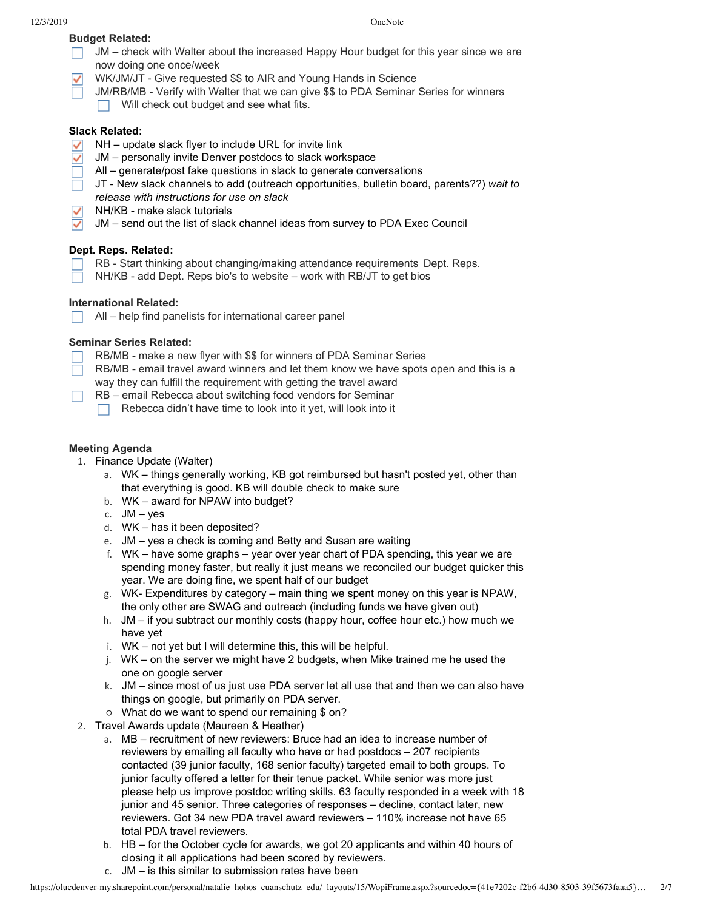# **Budget Related:**

- $\Box$  JM check with Walter about the increased Happy Hour budget for this year since we are now doing one once/week
- WK/JM/JT Give requested \$\$ to AIR and Young Hands in Science
	- JM/RB/MB Verify with Walter that we can give \$\$ to PDA Seminar Series for winners
	- Will check out budget and see what fits.  $\Box$

# **Slack Related:**

- NH update slack flyer to include URL for invite link
- ✓ JM – personally invite Denver postdocs to slack workspace
- All generate/post fake questions in slack to generate conversations
- JT New slack channels to add (outreach opportunities, bulletin board, parents??) *wait to*  $\Box$ *release with instructions for use on slack*
- NH/KB make slack tutorials
- $\checkmark$ JM – send out the list of slack channel ideas from survey to PDA Exec Council

# **Dept. Reps. Related:**

- RB Start thinking about changing/making attendance requirements Dept. Reps.
- NH/KB add Dept. Reps bio's to website work with RB/JT to get bios

# **International Related:**

All – help find panelists for international career panel

# **Seminar Series Related:**

- RB/MB make a new flyer with \$\$ for winners of PDA Seminar Series
- $\Box$  RB/MB email travel award winners and let them know we have spots open and this is a way they can fulfill the requirement with getting the travel award
- $\Box$  RB email Rebecca about switching food vendors for Seminar
	- Rebecca didn't have time to look into it yet, will look into it

# **Meeting Agenda**

- 1. Finance Update (Walter)
	- a. WK things generally working, KB got reimbursed but hasn't posted yet, other than that everything is good. KB will double check to make sure
	- b. WK award for NPAW into budget?
	- c.  $JM yes$
	- d. WK has it been deposited?
	- e. JM yes a check is coming and Betty and Susan are waiting
	- f. WK have some graphs year over year chart of PDA spending, this year we are spending money faster, but really it just means we reconciled our budget quicker this year. We are doing fine, we spent half of our budget
	- g. WK- Expenditures by category main thing we spent money on this year is NPAW, the only other are SWAG and outreach (including funds we have given out)
	- h. JM if you subtract our monthly costs (happy hour, coffee hour etc.) how much we have yet
	- i. WK not yet but I will determine this, this will be helpful.
	- j. WK on the server we might have 2 budgets, when Mike trained me he used the one on google server
	- k. JM since most of us just use PDA server let all use that and then we can also have things on google, but primarily on PDA server.
	- What do we want to spend our remaining \$ on?
- 2. Travel Awards update (Maureen & Heather)
	- a. MB recruitment of new reviewers: Bruce had an idea to increase number of reviewers by emailing all faculty who have or had postdocs – 207 recipients contacted (39 junior faculty, 168 senior faculty) targeted email to both groups. To junior faculty offered a letter for their tenue packet. While senior was more just please help us improve postdoc writing skills. 63 faculty responded in a week with 18 junior and 45 senior. Three categories of responses – decline, contact later, new reviewers. Got 34 new PDA travel award reviewers – 110% increase not have 65 total PDA travel reviewers.
	- b. HB for the October cycle for awards, we got 20 applicants and within 40 hours of closing it all applications had been scored by reviewers.
	- c. JM is this similar to submission rates have been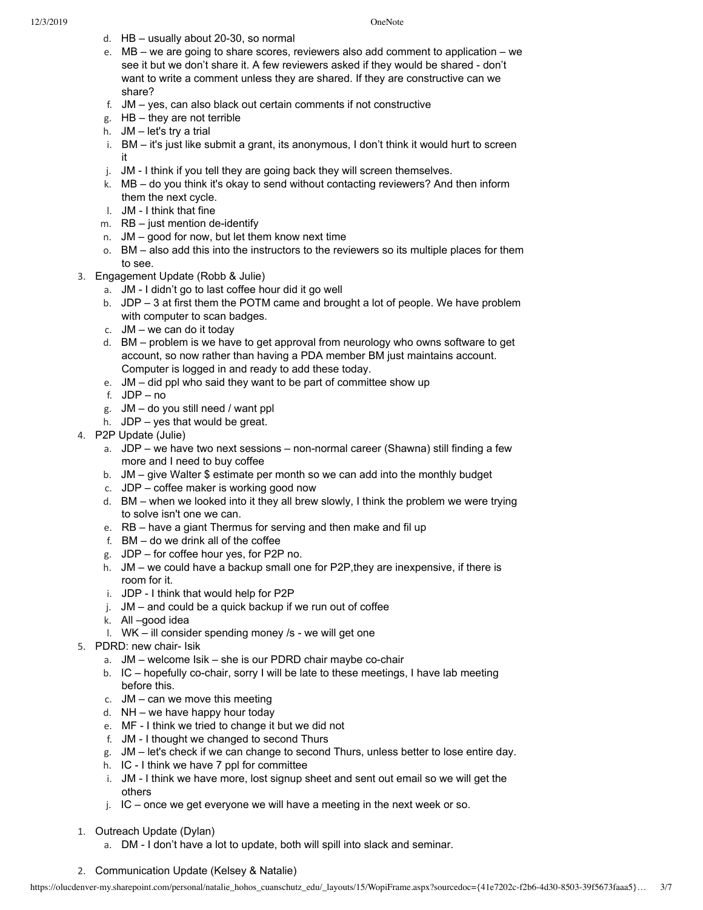12/3/2019 OneNote

- d. HB usually about 20-30, so normal
- e. MB we are going to share scores, reviewers also add comment to application we see it but we don't share it. A few reviewers asked if they would be shared - don't want to write a comment unless they are shared. If they are constructive can we share?
- f. JM yes, can also black out certain comments if not constructive
- g. HB they are not terrible
- h. JM let's try a trial
- i. BM it's just like submit a grant, its anonymous, I don't think it would hurt to screen it
- j. JM I think if you tell they are going back they will screen themselves.
- k. MB do you think it's okay to send without contacting reviewers? And then inform them the next cycle.
- l. JM I think that fine
- m. RB just mention de-identify
- n. JM good for now, but let them know next time
- o. BM also add this into the instructors to the reviewers so its multiple places for them to see.
- 3. Engagement Update (Robb & Julie)
	- a. JM I didn't go to last coffee hour did it go well
	- b. JDP 3 at first them the POTM came and brought a lot of people. We have problem with computer to scan badges.
	- c. JM we can do it today
	- d. BM problem is we have to get approval from neurology who owns software to get account, so now rather than having a PDA member BM just maintains account. Computer is logged in and ready to add these today.
	- e. JM did ppl who said they want to be part of committee show up
	- f. JDP no
	- g. JM do you still need / want ppl
	- h. JDP yes that would be great.
- 4. P2P Update (Julie)
	- a. JDP we have two next sessions non-normal career (Shawna) still finding a few more and I need to buy coffee
	- b. JM give Walter \$ estimate per month so we can add into the monthly budget
	- c. JDP coffee maker is working good now
	- d. BM when we looked into it they all brew slowly, I think the problem we were trying to solve isn't one we can.
	- e. RB have a giant Thermus for serving and then make and fil up
	- f. BM do we drink all of the coffee
	- g. JDP for coffee hour yes, for P2P no.
	- h. JM we could have a backup small one for P2P,they are inexpensive, if there is room for it.
	- i. JDP I think that would help for P2P
	- j. JM and could be a quick backup if we run out of coffee
	- k. All –good idea
	- l. WK ill consider spending money /s we will get one
- 5. PDRD: new chair- Isik
	- a. JM welcome Isik she is our PDRD chair maybe co-chair
	- b. IC hopefully co-chair, sorry I will be late to these meetings, I have lab meeting before this.
	- c. JM can we move this meeting
	- d. NH we have happy hour today
	- e. MF I think we tried to change it but we did not
	- f. JM I thought we changed to second Thurs
	- g. JM let's check if we can change to second Thurs, unless better to lose entire day.
	- h. IC I think we have 7 ppl for committee
	- i. JM I think we have more, lost signup sheet and sent out email so we will get the others
	- j. IC once we get everyone we will have a meeting in the next week or so.
- 1. Outreach Update (Dylan)
	- a. DM I don't have a lot to update, both will spill into slack and seminar.

# 2. Communication Update (Kelsey & Natalie)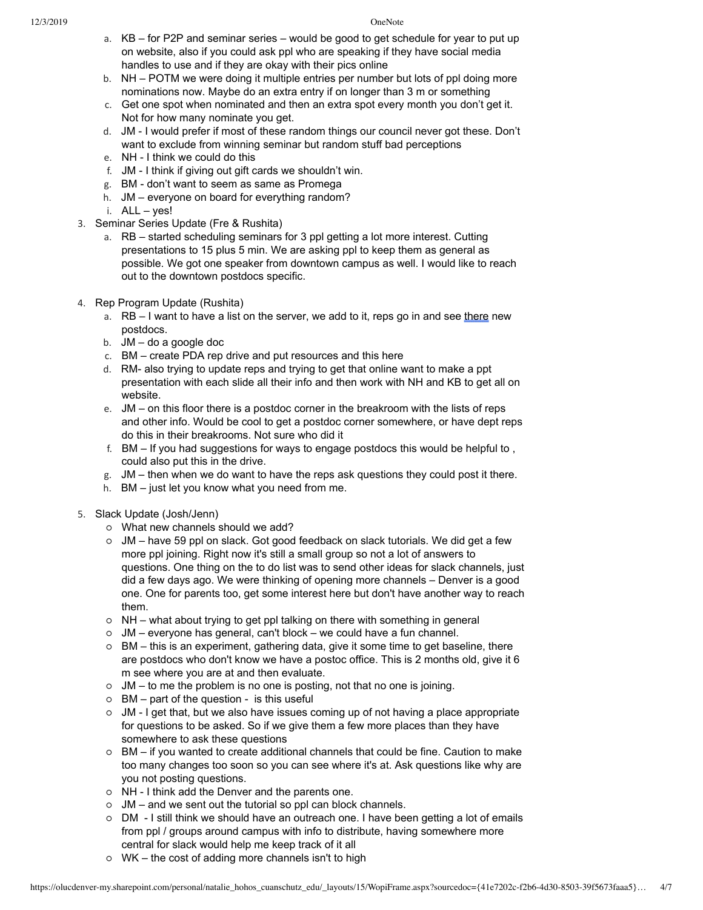- a. KB for P2P and seminar series would be good to get schedule for year to put up on website, also if you could ask ppl who are speaking if they have social media handles to use and if they are okay with their pics online
- b. NH POTM we were doing it multiple entries per number but lots of ppl doing more nominations now. Maybe do an extra entry if on longer than 3 m or something
- c. Get one spot when nominated and then an extra spot every month you don't get it. Not for how many nominate you get.
- d. JM I would prefer if most of these random things our council never got these. Don't want to exclude from winning seminar but random stuff bad perceptions
- e. NH I think we could do this
- f. JM I think if giving out gift cards we shouldn't win.
- g. BM don't want to seem as same as Promega
- h. JM everyone on board for everything random?
- i. ALL yes!
- 3. Seminar Series Update (Fre & Rushita)
	- a. RB started scheduling seminars for 3 ppl getting a lot more interest. Cutting presentations to 15 plus 5 min. We are asking ppl to keep them as general as possible. We got one speaker from downtown campus as well. I would like to reach out to the downtown postdocs specific.
- 4. Rep Program Update (Rushita)
	- a. RB I want to have a list on the server, we add to it, reps go in and see there new postdocs.
	- b. JM do a google doc
	- c. BM create PDA rep drive and put resources and this here
	- d. RM- also trying to update reps and trying to get that online want to make a ppt presentation with each slide all their info and then work with NH and KB to get all on website.
	- e. JM on this floor there is a postdoc corner in the breakroom with the lists of reps and other info. Would be cool to get a postdoc corner somewhere, or have dept reps do this in their breakrooms. Not sure who did it
	- f. BM If you had suggestions for ways to engage postdocs this would be helpful to , could also put this in the drive.
	- g. JM then when we do want to have the reps ask questions they could post it there.
	- h. BM just let you know what you need from me.
- 5. Slack Update (Josh/Jenn)
	- What new channels should we add?
	- $\circ$  JM have 59 ppl on slack. Got good feedback on slack tutorials. We did get a few more ppl joining. Right now it's still a small group so not a lot of answers to questions. One thing on the to do list was to send other ideas for slack channels, just did a few days ago. We were thinking of opening more channels – Denver is a good one. One for parents too, get some interest here but don't have another way to reach them.
	- NH what about trying to get ppl talking on there with something in general
	- $\circ$  JM everyone has general, can't block we could have a fun channel.
	- $\circ$  BM this is an experiment, gathering data, give it some time to get baseline, there are postdocs who don't know we have a postoc office. This is 2 months old, give it 6 m see where you are at and then evaluate.
	- JM to me the problem is no one is posting, not that no one is joining.
	- $\circ$  BM part of the question is this useful
	- JM I get that, but we also have issues coming up of not having a place appropriate for questions to be asked. So if we give them a few more places than they have somewhere to ask these questions
	- BM if you wanted to create additional channels that could be fine. Caution to make too many changes too soon so you can see where it's at. Ask questions like why are you not posting questions.
	- NH I think add the Denver and the parents one.
	- JM and we sent out the tutorial so ppl can block channels.
	- DM I still think we should have an outreach one. I have been getting a lot of emails from ppl / groups around campus with info to distribute, having somewhere more central for slack would help me keep track of it all
	- WK the cost of adding more channels isn't to high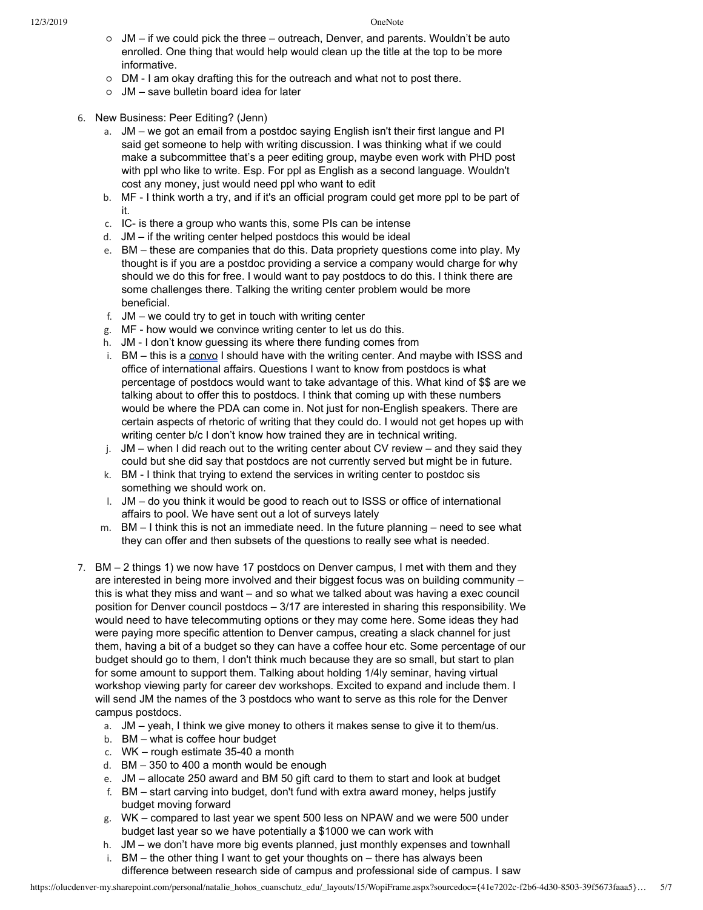- JM if we could pick the three outreach, Denver, and parents. Wouldn't be auto enrolled. One thing that would help would clean up the title at the top to be more informative.
- DM I am okay drafting this for the outreach and what not to post there.
- JM save bulletin board idea for later
- 6. New Business: Peer Editing? (Jenn)
	- a. JM we got an email from a postdoc saying English isn't their first langue and PI said get someone to help with writing discussion. I was thinking what if we could make a subcommittee that's a peer editing group, maybe even work with PHD post with ppl who like to write. Esp. For ppl as English as a second language. Wouldn't cost any money, just would need ppl who want to edit
	- b. MF I think worth a try, and if it's an official program could get more ppl to be part of it.
	- c. IC- is there a group who wants this, some PIs can be intense
	- d. JM if the writing center helped postdocs this would be ideal
	- e. BM these are companies that do this. Data propriety questions come into play. My thought is if you are a postdoc providing a service a company would charge for why should we do this for free. I would want to pay postdocs to do this. I think there are some challenges there. Talking the writing center problem would be more beneficial.
	- f. JM we could try to get in touch with writing center
	- g. MF how would we convince writing center to let us do this.
	- h. JM I don't know guessing its where there funding comes from
	- i. BM this is a convo I should have with the writing center. And maybe with ISSS and office of international affairs. Questions I want to know from postdocs is what percentage of postdocs would want to take advantage of this. What kind of \$\$ are we talking about to offer this to postdocs. I think that coming up with these numbers would be where the PDA can come in. Not just for non-English speakers. There are certain aspects of rhetoric of writing that they could do. I would not get hopes up with writing center b/c I don't know how trained they are in technical writing.
	- j.  $JM -$  when I did reach out to the writing center about CV review and they said they could but she did say that postdocs are not currently served but might be in future.
	- k. BM I think that trying to extend the services in writing center to postdoc sis something we should work on.
	- l. JM do you think it would be good to reach out to ISSS or office of international affairs to pool. We have sent out a lot of surveys lately
	- m. BM I think this is not an immediate need. In the future planning need to see what they can offer and then subsets of the questions to really see what is needed.
- 7. BM 2 things 1) we now have 17 postdocs on Denver campus, I met with them and they are interested in being more involved and their biggest focus was on building community – this is what they miss and want – and so what we talked about was having a exec council position for Denver council postdocs – 3/17 are interested in sharing this responsibility. We would need to have telecommuting options or they may come here. Some ideas they had were paying more specific attention to Denver campus, creating a slack channel for just them, having a bit of a budget so they can have a coffee hour etc. Some percentage of our budget should go to them, I don't think much because they are so small, but start to plan for some amount to support them. Talking about holding 1/4ly seminar, having virtual workshop viewing party for career dev workshops. Excited to expand and include them. I will send JM the names of the 3 postdocs who want to serve as this role for the Denver campus postdocs.
	- a. JM yeah, I think we give money to others it makes sense to give it to them/us.
	- b. BM what is coffee hour budget
	- c. WK rough estimate 35-40 a month
	- d. BM 350 to 400 a month would be enough
	- e. JM allocate 250 award and BM 50 gift card to them to start and look at budget
	- f. BM start carving into budget, don't fund with extra award money, helps justify budget moving forward
	- g. WK compared to last year we spent 500 less on NPAW and we were 500 under budget last year so we have potentially a \$1000 we can work with
	- h. JM we don't have more big events planned, just monthly expenses and townhall
	- i. BM the other thing I want to get your thoughts on there has always been difference between research side of campus and professional side of campus. I saw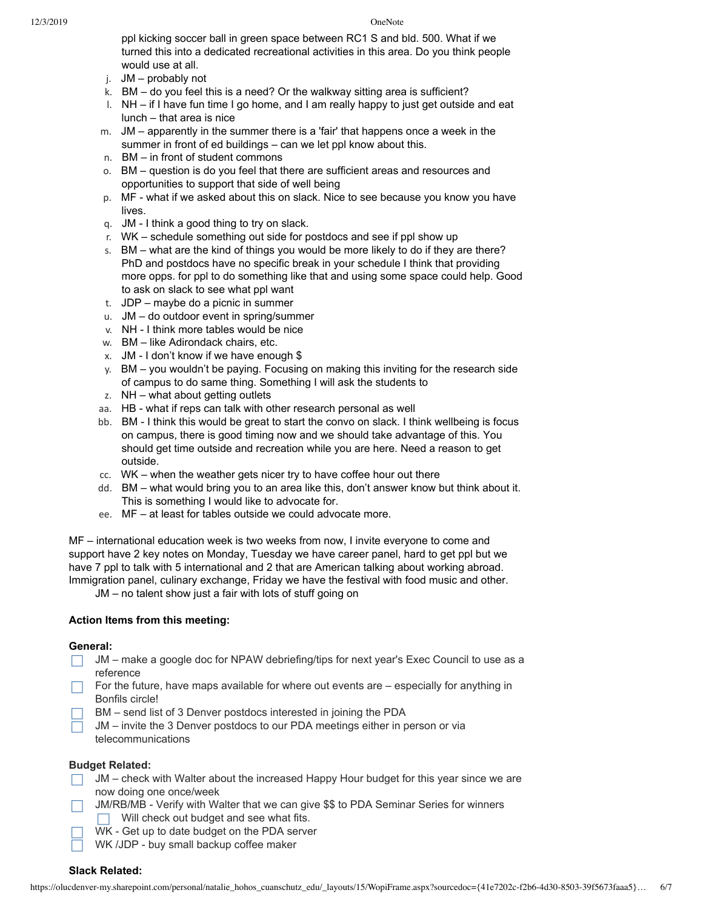ppl kicking soccer ball in green space between RC1 S and bld. 500. What if we turned this into a dedicated recreational activities in this area. Do you think people would use at all.

- j. JM probably not
- k. BM do you feel this is a need? Or the walkway sitting area is sufficient?
- l. NH if I have fun time I go home, and I am really happy to just get outside and eat lunch – that area is nice
- m. JM apparently in the summer there is a 'fair' that happens once a week in the summer in front of ed buildings – can we let ppl know about this.
- n. BM in front of student commons
- o. BM question is do you feel that there are sufficient areas and resources and opportunities to support that side of well being
- p. MF what if we asked about this on slack. Nice to see because you know you have lives.
- q. JM I think a good thing to try on slack.
- r. WK schedule something out side for postdocs and see if ppl show up
- s. BM what are the kind of things you would be more likely to do if they are there? PhD and postdocs have no specific break in your schedule I think that providing more opps. for ppl to do something like that and using some space could help. Good to ask on slack to see what ppl want
- t. JDP maybe do a picnic in summer
- u. JM do outdoor event in spring/summer
- v. NH I think more tables would be nice
- w. BM like Adirondack chairs, etc.
- x. JM I don't know if we have enough \$
- y. BM you wouldn't be paying. Focusing on making this inviting for the research side of campus to do same thing. Something I will ask the students to
- z. NH what about getting outlets
- aa. HB what if reps can talk with other research personal as well
- bb. BM I think this would be great to start the convo on slack. I think wellbeing is focus on campus, there is good timing now and we should take advantage of this. You should get time outside and recreation while you are here. Need a reason to get outside.
- cc. WK when the weather gets nicer try to have coffee hour out there
- dd. BM what would bring you to an area like this, don't answer know but think about it. This is something I would like to advocate for.
- ee. MF at least for tables outside we could advocate more.

MF – international education week is two weeks from now, I invite everyone to come and support have 2 key notes on Monday, Tuesday we have career panel, hard to get ppl but we have 7 ppl to talk with 5 international and 2 that are American talking about working abroad. Immigration panel, culinary exchange, Friday we have the festival with food music and other.

JM – no talent show just a fair with lots of stuff going on

# **Action Items from this meeting:**

# **General:**

- $\Box$  JM make a google doc for NPAW debriefing/tips for next year's Exec Council to use as a reference
- For the future, have maps available for where out events are  $-$  especially for anything in Bonfils circle!
- BM send list of 3 Denver postdocs interested in joining the PDA  $\Box$
- JM invite the 3 Denver postdocs to our PDA meetings either in person or via telecommunications

# **Budget Related:**

- JM check with Walter about the increased Happy Hour budget for this year since we are now doing one once/week
- JM/RB/MB Verify with Walter that we can give \$\$ to PDA Seminar Series for winners  $\Box$  Will check out budget and see what fits.
	- WK Get up to date budget on the PDA server
	- WK /JDP buy small backup coffee maker

# **Slack Related:**